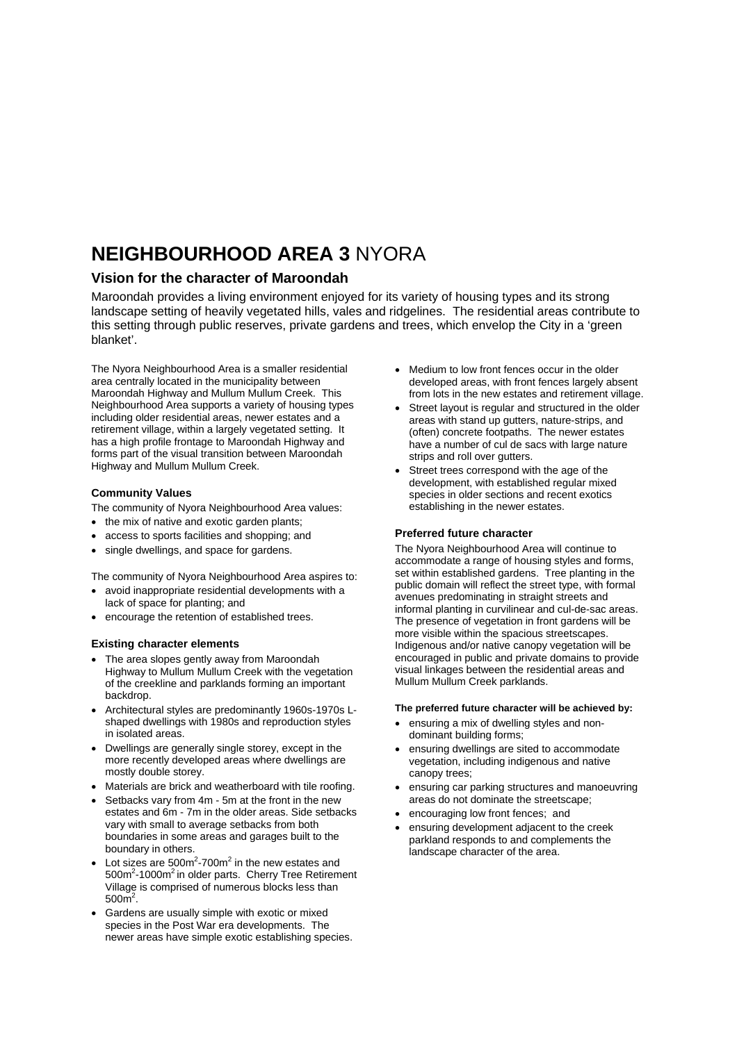# **NEIGHBOURHOOD AREA 3** NYORA

## **Vision for the character of Maroondah**

Maroondah provides a living environment enjoyed for its variety of housing types and its strong landscape setting of heavily vegetated hills, vales and ridgelines. The residential areas contribute to this setting through public reserves, private gardens and trees, which envelop the City in a 'green blanket'.

The Nyora Neighbourhood Area is a smaller residential area centrally located in the municipality between Maroondah Highway and Mullum Mullum Creek. This Neighbourhood Area supports a variety of housing types including older residential areas, newer estates and a retirement village, within a largely vegetated setting. It has a high profile frontage to Maroondah Highway and forms part of the visual transition between Maroondah Highway and Mullum Mullum Creek.

### **Community Values**

The community of Nyora Neighbourhood Area values:

- the mix of native and exotic garden plants:
- access to sports facilities and shopping; and
- single dwellings, and space for gardens.

The community of Nyora Neighbourhood Area aspires to:

- avoid inappropriate residential developments with a lack of space for planting; and
- encourage the retention of established trees.

#### **Existing character elements**

- The area slopes gently away from Maroondah Highway to Mullum Mullum Creek with the vegetation of the creekline and parklands forming an important backdrop.
- Architectural styles are predominantly 1960s-1970s Lshaped dwellings with 1980s and reproduction styles in isolated areas.
- Dwellings are generally single storey, except in the more recently developed areas where dwellings are mostly double storey.
- Materials are brick and weatherboard with tile roofing.
- Setbacks vary from 4m 5m at the front in the new estates and 6m - 7m in the older areas. Side setbacks vary with small to average setbacks from both boundaries in some areas and garages built to the boundary in others.
- Lot sizes are  $500m^2$ -700 $m^2$  in the new estates and 500m<sup>2</sup>-1000m<sup>2</sup> in older parts. Cherry Tree Retirement Village is comprised of numerous blocks less than  $500<sup>2</sup>$ .
- Gardens are usually simple with exotic or mixed species in the Post War era developments. The newer areas have simple exotic establishing species.
- Medium to low front fences occur in the older developed areas, with front fences largely absent from lots in the new estates and retirement village.
- Street layout is regular and structured in the older areas with stand up gutters, nature-strips, and (often) concrete footpaths. The newer estates have a number of cul de sacs with large nature strips and roll over gutters.
- Street trees correspond with the age of the development, with established regular mixed species in older sections and recent exotics establishing in the newer estates.

#### **Preferred future character**

The Nyora Neighbourhood Area will continue to accommodate a range of housing styles and forms, set within established gardens. Tree planting in the public domain will reflect the street type, with formal avenues predominating in straight streets and informal planting in curvilinear and cul-de-sac areas. The presence of vegetation in front gardens will be more visible within the spacious streetscapes. Indigenous and/or native canopy vegetation will be encouraged in public and private domains to provide visual linkages between the residential areas and Mullum Mullum Creek parklands.

#### **The preferred future character will be achieved by:**

- ensuring a mix of dwelling styles and nondominant building forms;
- ensuring dwellings are sited to accommodate vegetation, including indigenous and native canopy trees;
- ensuring car parking structures and manoeuvring areas do not dominate the streetscape;
- encouraging low front fences; and
- ensuring development adjacent to the creek parkland responds to and complements the landscape character of the area.